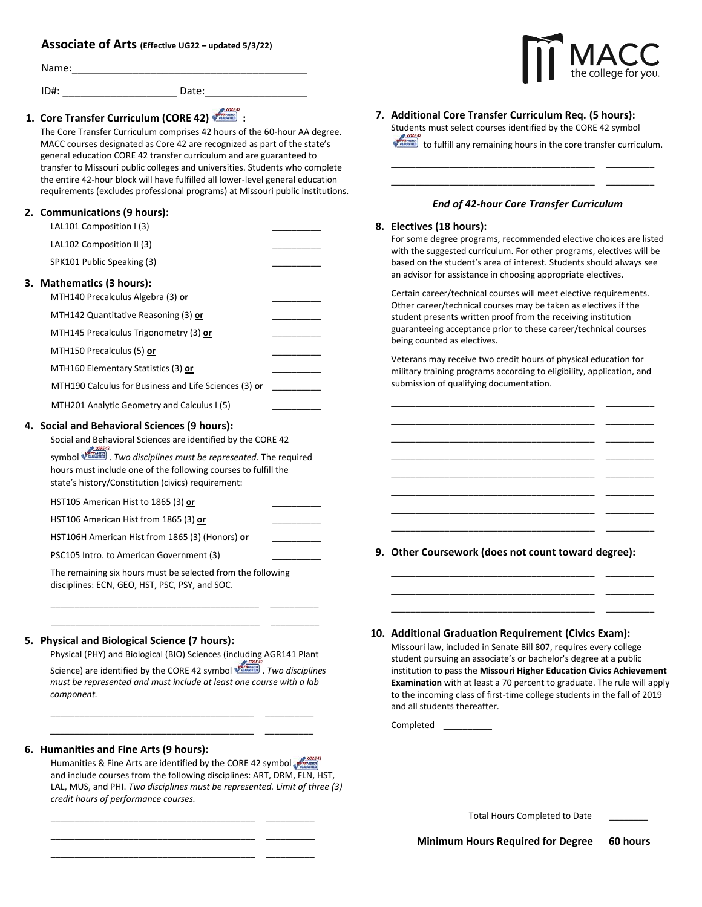# **Associate of Arts (Effective UG2<sup>2</sup> – updated 5/3/22)**

| Name: |  |
|-------|--|
|       |  |

|    | ID#:<br>Date:                                                                                                                                                                                                                                                                                                           |  |
|----|-------------------------------------------------------------------------------------------------------------------------------------------------------------------------------------------------------------------------------------------------------------------------------------------------------------------------|--|
|    | 1. Core Transfer Curriculum (CORE 42)<br>The Core Transfer Curriculum comprises 42 hours of the 60-hour AA degree.<br>MACC courses designated as Core 42 are recognized as part of the state's                                                                                                                          |  |
|    | general education CORE 42 transfer curriculum and are guaranteed to<br>transfer to Missouri public colleges and universities. Students who complete<br>the entire 42-hour block will have fulfilled all lower-level general education<br>requirements (excludes professional programs) at Missouri public institutions. |  |
|    | 2. Communications (9 hours):<br>LAL101 Composition I (3)                                                                                                                                                                                                                                                                |  |
|    | LAL102 Composition II (3)                                                                                                                                                                                                                                                                                               |  |
|    | SPK101 Public Speaking (3)                                                                                                                                                                                                                                                                                              |  |
|    | 3. Mathematics (3 hours):<br>MTH140 Precalculus Algebra (3) or                                                                                                                                                                                                                                                          |  |
|    | MTH142 Quantitative Reasoning (3) or                                                                                                                                                                                                                                                                                    |  |
|    | MTH145 Precalculus Trigonometry (3) or                                                                                                                                                                                                                                                                                  |  |
|    | MTH150 Precalculus (5) or                                                                                                                                                                                                                                                                                               |  |
|    | MTH160 Elementary Statistics (3) or                                                                                                                                                                                                                                                                                     |  |
|    | MTH190 Calculus for Business and Life Sciences (3) or                                                                                                                                                                                                                                                                   |  |
|    | MTH201 Analytic Geometry and Calculus I (5)                                                                                                                                                                                                                                                                             |  |
|    | 4. Social and Behavioral Sciences (9 hours):<br>Social and Behavioral Sciences are identified by the CORE 42                                                                                                                                                                                                            |  |
|    | symbol <b>Villance</b> . Two disciplines must be represented. The required<br>hours must include one of the following courses to fulfill the<br>state's history/Constitution (civics) requirement:                                                                                                                      |  |
|    | HST105 American Hist to 1865 (3) or                                                                                                                                                                                                                                                                                     |  |
|    | HST106 American Hist from 1865 (3) or                                                                                                                                                                                                                                                                                   |  |
|    | HST106H American Hist from 1865 (3) (Honors) or                                                                                                                                                                                                                                                                         |  |
|    | PSC105 Intro. to American Government (3)                                                                                                                                                                                                                                                                                |  |
|    | The remaining six hours must be selected from the following<br>disciplines: ECN, GEO, HST, PSC, PSY, and SOC.                                                                                                                                                                                                           |  |
| 5. | <b>Physical and Biological Science (7 hours):</b>                                                                                                                                                                                                                                                                       |  |
|    | Physical (PHY) and Biological (BIO) Sciences (including AGR141 Plant                                                                                                                                                                                                                                                    |  |
|    | Science) are identified by the CORE 42 symbol virtually . Two disciplines<br>must be represented and must include at least one course with a lab<br>component.                                                                                                                                                          |  |
|    |                                                                                                                                                                                                                                                                                                                         |  |

## **6. Humanities and Fine Arts (9 hours):**

Humanities & Fine Arts are identified by the CORE 42 symbol and include courses from the following disciplines: ART, DRM, FLN, HST, LAL, MUS, and PHI. *Two disciplines must be represented. Limit of three (3) credit hours of performance courses.*

> $\overline{\phantom{a}}$  $\overline{\phantom{a}}$   $\overline{\phantom{a}}$   $\overline{\phantom{a}}$   $\overline{\phantom{a}}$   $\overline{\phantom{a}}$   $\overline{\phantom{a}}$   $\overline{\phantom{a}}$   $\overline{\phantom{a}}$   $\overline{\phantom{a}}$   $\overline{\phantom{a}}$   $\overline{\phantom{a}}$   $\overline{\phantom{a}}$   $\overline{\phantom{a}}$   $\overline{\phantom{a}}$   $\overline{\phantom{a}}$   $\overline{\phantom{a}}$   $\overline{\phantom{a}}$   $\overline{\phantom{a}}$   $\overline{\$

\_\_\_\_\_\_\_\_\_\_\_\_\_\_\_\_\_\_\_\_\_\_\_\_\_\_\_\_\_\_\_\_\_\_\_\_\_\_\_\_\_\_ \_\_\_\_\_\_\_\_\_\_

\_\_\_\_\_\_\_\_\_\_\_\_\_\_\_\_\_\_\_\_\_\_\_\_\_\_\_\_\_\_\_\_\_\_\_\_\_\_\_\_\_\_ \_\_\_\_\_\_\_\_\_\_

\_\_\_\_\_\_\_\_\_\_\_\_\_\_\_\_\_\_\_\_\_\_\_\_\_\_\_\_\_\_\_\_\_\_\_\_\_\_\_\_\_\_ \_\_\_\_\_\_\_\_\_\_\_\_\_\_\_\_\_\_\_\_\_\_\_\_\_\_\_\_\_\_\_\_\_\_\_\_\_\_\_\_\_\_

**7. Additional Core Transfer Curriculum Req. (5 hours):** Students must select courses identified by the CORE 42 symbol to fulfill any remaining hours in the core transfer curriculum.

\_\_\_\_\_\_\_\_\_\_\_\_\_\_\_\_\_\_\_\_\_\_\_\_\_\_\_\_\_\_\_\_\_\_\_\_\_\_\_\_\_\_ \_\_\_\_\_\_\_\_\_\_ \_\_\_\_\_\_\_\_\_\_\_\_\_\_\_\_\_\_\_\_\_\_\_\_\_\_\_\_\_\_\_\_\_\_\_\_\_\_\_\_\_\_ \_\_\_\_\_\_\_\_\_\_

## *End of 42-hour Core Transfer Curriculum*

## **8. Electives (18 hours):**

For some degree programs, recommended elective choices are listed with the suggested curriculum. For other programs, electives will be based on the student's area of interest. Students should always see an advisor for assistance in choosing appropriate electives.

Certain career/technical courses will meet elective requirements. Other career/technical courses may be taken as electives if the student presents written proof from the receiving institution guaranteeing acceptance prior to these career/technical courses being counted as electives.

Veterans may receive two credit hours of physical education for military training programs according to eligibility, application, and submission of qualifying documentation.

\_\_\_\_\_\_\_\_\_\_\_\_\_\_\_\_\_\_\_\_\_\_\_\_\_\_\_\_\_\_\_\_\_\_\_\_\_\_\_\_\_\_ \_\_\_\_\_\_\_\_\_\_ \_\_\_\_\_\_\_\_\_\_\_\_\_\_\_\_\_\_\_\_\_\_\_\_\_\_\_\_\_\_\_\_\_\_\_\_\_\_\_\_\_\_ \_\_\_\_\_\_\_\_\_\_ \_\_\_\_\_\_\_\_\_\_\_\_\_\_\_\_\_\_\_\_\_\_\_\_\_\_\_\_\_\_\_\_\_\_\_\_\_\_\_\_\_\_ \_\_\_\_\_\_\_\_\_\_ \_\_\_\_\_\_\_\_\_\_\_\_\_\_\_\_\_\_\_\_\_\_\_\_\_\_\_\_\_\_\_\_\_\_\_\_\_\_\_\_\_\_ \_\_\_\_\_\_\_\_\_\_ \_\_\_\_\_\_\_\_\_\_\_\_\_\_\_\_\_\_\_\_\_\_\_\_\_\_\_\_\_\_\_\_\_\_\_\_\_\_\_\_\_\_ \_\_\_\_\_\_\_\_\_\_ \_\_\_\_\_\_\_\_\_\_\_\_\_\_\_\_\_\_\_\_\_\_\_\_\_\_\_\_\_\_\_\_\_\_\_\_\_\_\_\_\_\_ \_\_\_\_\_\_\_\_\_\_ \_\_\_\_\_\_\_\_\_\_\_\_\_\_\_\_\_\_\_\_\_\_\_\_\_\_\_\_\_\_\_\_\_\_\_\_\_\_\_\_\_\_ \_\_\_\_\_\_\_\_\_\_ \_\_\_\_\_\_\_\_\_\_\_\_\_\_\_\_\_\_\_\_\_\_\_\_\_\_\_\_\_\_\_\_\_\_\_\_\_\_\_\_\_\_ \_\_\_\_\_\_\_\_\_\_

**9. Other Coursework (does not count toward degree):**

\_\_\_\_\_\_\_\_\_\_\_\_\_\_\_\_\_\_\_\_\_\_\_\_\_\_\_\_\_\_\_\_\_\_\_\_\_\_\_\_\_\_ \_\_\_\_\_\_\_\_\_\_ \_\_\_\_\_\_\_\_\_\_\_\_\_\_\_\_\_\_\_\_\_\_\_\_\_\_\_\_\_\_\_\_\_\_\_\_\_\_\_\_\_\_ \_\_\_\_\_\_\_\_\_\_ \_\_\_\_\_\_\_\_\_\_\_\_\_\_\_\_\_\_\_\_\_\_\_\_\_\_\_\_\_\_\_\_\_\_\_\_\_\_\_\_\_\_ \_\_\_\_\_\_\_\_\_\_

**10. Additional Graduation Requirement (Civics Exam):**

Missouri law, included in Senate Bill 807, requires every college student pursuing an associate's or bachelor's degree at a public institution to pass the **Missouri Higher Education Civics Achievement Examination** with at least a 70 percent to graduate. The rule will apply to the incoming class of first-time college students in the fall of 2019 and all students thereafter.

Completed \_\_\_\_\_\_\_\_\_\_

Total Hours Completed to Date \_\_\_\_\_\_\_\_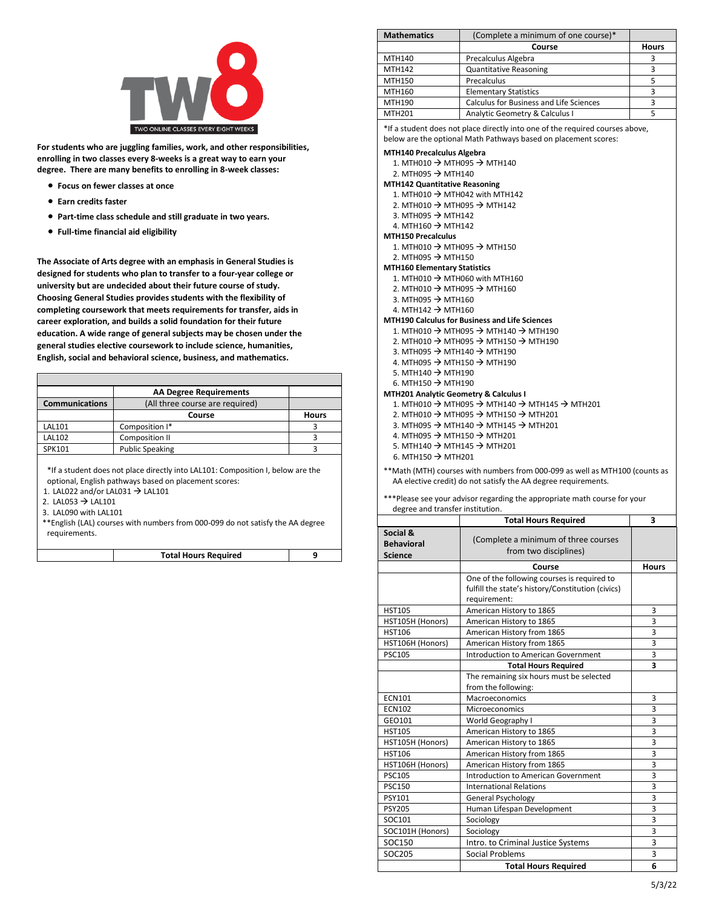

**For students who are juggling families, work, and other responsibilities, enrolling in two classes every 8-weeks is a great way to earn your degree. There are many benefits to enrolling in 8-week classes:**

- **Focus on fewer classes at once**
- **Earn credits faster**
- **Part-time class schedule and still graduate in two years.**
- **Full-time financial aid eligibility**

**The Associate of Arts degree with an emphasis in General Studies is designed for students who plan to transfer to a four-year college or university but are undecided about their future course of study. Choosing General Studies provides students with the flexibility of completing coursework that meets requirements for transfer, aids in career exploration, and builds a solid foundation for their future education. A wide range of general subjects may be chosen under the general studies elective coursework to include science, humanities, English, social and behavioral science, business, and mathematics.**

|                                                          | <b>AA Degree Requirements</b> |              |
|----------------------------------------------------------|-------------------------------|--------------|
| (All three course are required)<br><b>Communications</b> |                               |              |
|                                                          | Course                        | <b>Hours</b> |
| <b>LAL101</b>                                            | Composition I*                |              |
| <b>LAL102</b>                                            | Composition II                |              |
| SPK101                                                   | <b>Public Speaking</b>        |              |
|                                                          |                               |              |

\*If a student does not place directly into LAL101: Composition I, below are the optional, English pathways based on placement scores:

1. LAL022 and/or LAL031 → LAL101

- 2. LAL053  $\rightarrow$  LAL101
- 3. LAL090 with LAL101

\*\*English (LAL) courses with numbers from 000-099 do not satisfy the AA degree requirements.

| <b>Total Hours Required</b> |  |
|-----------------------------|--|
|-----------------------------|--|

| <b>Mathematics</b> | (Complete a minimum of one course)*     |              |
|--------------------|-----------------------------------------|--------------|
|                    | Course                                  | <b>Hours</b> |
| MTH140             | Precalculus Algebra                     |              |
| MTH142             | <b>Quantitative Reasoning</b>           |              |
| MTH150             | Precalculus                             |              |
| MTH160             | <b>Elementary Statistics</b>            |              |
| MTH190             | Calculus for Business and Life Sciences |              |
| <b>MTH201</b>      | Analytic Geometry & Calculus I          |              |

\*If a student does not place directly into one of the required courses above, below are the optional Math Pathways based on placement scores:

#### **MTH140 Precalculus Algebra**

- 1. MTH010  $\rightarrow$  MTH095  $\rightarrow$  MTH140
- 2. MTH095  $\rightarrow$  MTH140
- **MTH142 Quantitative Reasoning**
	- 1. MTH010  $\rightarrow$  MTH042 with MTH142
	- 2. MTH010  $\rightarrow$  MTH095  $\rightarrow$  MTH142
	- 3. MTH095  $\rightarrow$  MTH142
- 4. MTH160 → MTH142
- **MTH150 Precalculus**
	- 1. MTH010  $\rightarrow$  MTH095  $\rightarrow$  MTH150 2. MTH095  $\rightarrow$  MTH150

**MTH160 Elementary Statistics**

- 1. MTH010  $\rightarrow$  MTH060 with MTH160
- 2. MTH010  $\rightarrow$  MTH095  $\rightarrow$  MTH160
- 3. MTH095  $\rightarrow$  MTH160
- $4. \text{MTH142} \rightarrow \text{MTH160}$

### **MTH190 Calculus for Business and Life Sciences**

- 1. MTH010  $\rightarrow$  MTH095  $\rightarrow$  MTH140  $\rightarrow$  MTH190
- 2. MTH010  $\rightarrow$  MTH095  $\rightarrow$  MTH150  $\rightarrow$  MTH190
- 3. MTH095  $\rightarrow$  MTH140  $\rightarrow$  MTH190
- 4. MTH095  $\rightarrow$  MTH150  $\rightarrow$  MTH190
- 5. MTH140  $\rightarrow$  MTH190
- 6. MTH150  $\rightarrow$  MTH190
- **MTH201 Analytic Geometry & Calculus I** 1. MTH010  $\rightarrow$  MTH095  $\rightarrow$  MTH140  $\rightarrow$  MTH145  $\rightarrow$  MTH201
	- 2. MTH010  $\rightarrow$  MTH095  $\rightarrow$  MTH150  $\rightarrow$  MTH201
	- 3. MTH095 → MTH140 → MTH145 → MTH201
	- 4. MTH095 → MTH150 → MTH201
	- 5. MTH140 → MTH145 → MTH201
	- 6. MTH150  $\rightarrow$  MTH201
- \*\*Math (MTH) courses with numbers from 000-099 as well as MTH100 (counts as AA elective credit) do not satisfy the AA degree requirements.

|                                                 | <b>Total Hours Required</b>                                                                                      |                |
|-------------------------------------------------|------------------------------------------------------------------------------------------------------------------|----------------|
| Social &<br><b>Behavioral</b><br><b>Science</b> | (Complete a minimum of three courses<br>from two disciplines)                                                    |                |
|                                                 | Course                                                                                                           |                |
|                                                 | One of the following courses is required to<br>fulfill the state's history/Constitution (civics)<br>requirement: |                |
| <b>HST105</b>                                   | American History to 1865                                                                                         | 3              |
| HST105H (Honors)                                | American History to 1865                                                                                         | 3              |
| <b>HST106</b>                                   | American History from 1865                                                                                       | 3              |
| HST106H (Honors)                                | American History from 1865                                                                                       | $\overline{3}$ |
| <b>PSC105</b>                                   | <b>Introduction to American Government</b>                                                                       | 3              |
|                                                 | <b>Total Hours Required</b>                                                                                      | 3              |
|                                                 | The remaining six hours must be selected<br>from the following:                                                  |                |
| <b>ECN101</b>                                   | Macroeconomics                                                                                                   | 3              |
| <b>ECN102</b>                                   | Microeconomics                                                                                                   | 3              |
| GEO101                                          | World Geography I                                                                                                | 3              |
| <b>HST105</b>                                   | American History to 1865                                                                                         | 3              |
| HST105H (Honors)                                | American History to 1865                                                                                         | 3              |
| <b>HST106</b>                                   | American History from 1865                                                                                       | 3              |
| HST106H (Honors)                                | American History from 1865                                                                                       | 3              |
| <b>PSC105</b>                                   | <b>Introduction to American Government</b>                                                                       | 3              |
| <b>PSC150</b>                                   | <b>International Relations</b>                                                                                   | 3              |
| <b>PSY101</b>                                   | <b>General Psychology</b>                                                                                        | 3              |
| <b>PSY205</b>                                   | Human Lifespan Development                                                                                       | 3              |
| SOC101                                          | Sociology                                                                                                        | 3              |
| SOC101H (Honors)                                | Sociology                                                                                                        | 3              |
| <b>SOC150</b>                                   | Intro. to Criminal Justice Systems                                                                               | $\overline{3}$ |
| SOC205                                          | <b>Social Problems</b>                                                                                           | 3              |
|                                                 | <b>Total Hours Required</b>                                                                                      | 6              |

### \*\*\*Please see your advisor regarding the appropriate math course for your degree and transfer institution.